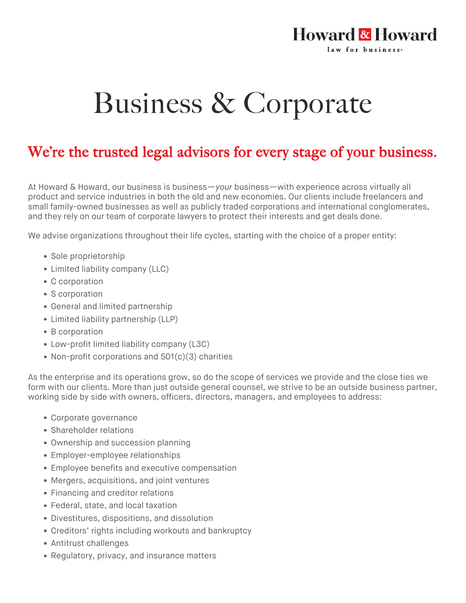## Howard & Howard law for business.

## Business & Corporate

## We're the trusted legal advisors for every stage of your business.

At Howard & Howard, our business is business—*your* business—with experience across virtually all product and service industries in both the old and new economies. Our clients include freelancers and small family-owned businesses as well as publicly traded corporations and international conglomerates, and they rely on our team of corporate lawyers to protect their interests and get deals done.

We advise organizations throughout their life cycles, starting with the choice of a proper entity:

- Sole proprietorship
- Limited liability company (LLC)
- C corporation
- S corporation
- General and limited partnership
- Limited liability partnership (LLP)
- B corporation
- Low-profit limited liability company (L3C)
- Non-profit corporations and 501(c)(3) charities

As the enterprise and its operations grow, so do the scope of services we provide and the close ties we form with our clients. More than just outside general counsel, we strive to be an outside business partner, working side by side with owners, officers, directors, managers, and employees to address:

- Corporate governance
- Shareholder relations
- Ownership and succession planning
- Employer-employee relationships
- Employee benefits and executive compensation
- Mergers, acquisitions, and joint ventures
- Financing and creditor relations
- Federal, state, and local taxation
- Divestitures, dispositions, and dissolution
- Creditors' rights including workouts and bankruptcy
- Antitrust challenges
- Regulatory, privacy, and insurance matters